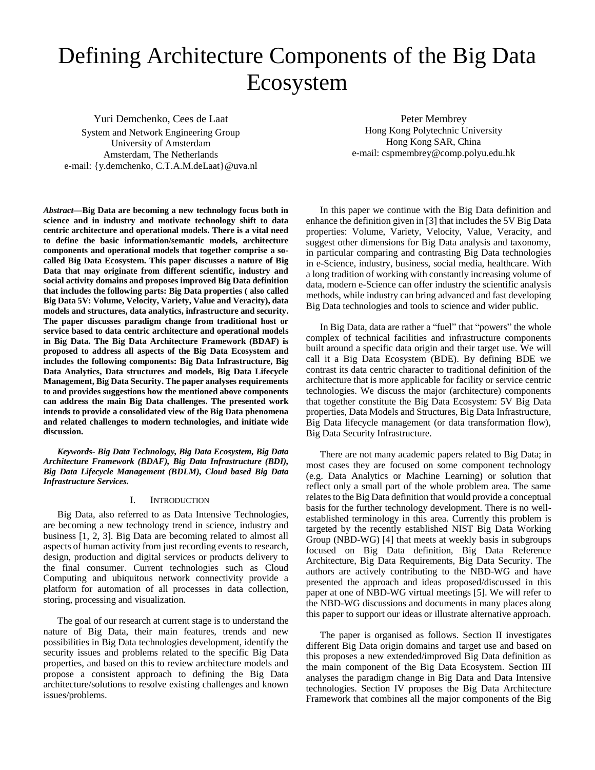# Defining Architecture Components of the Big Data Ecosystem

Yuri Demchenko, Cees de Laat System and Network Engineering Group University of Amsterdam Amsterdam, The Netherlands e-mail: {y.demchenko, C.T.A.M.deLaat}@uva.nl

*Abstract***—Big Data are becoming a new technology focus both in science and in industry and motivate technology shift to data centric architecture and operational models. There is a vital need to define the basic information/semantic models, architecture components and operational models that together comprise a socalled Big Data Ecosystem. This paper discusses a nature of Big Data that may originate from different scientific, industry and social activity domains and proposes improved Big Data definition that includes the following parts: Big Data properties ( also called Big Data 5V: Volume, Velocity, Variety, Value and Veracity), data models and structures, data analytics, infrastructure and security. The paper discusses paradigm change from traditional host or service based to data centric architecture and operational models in Big Data. The Big Data Architecture Framework (BDAF) is proposed to address all aspects of the Big Data Ecosystem and includes the following components: Big Data Infrastructure, Big Data Analytics, Data structures and models, Big Data Lifecycle Management, Big Data Security. The paper analyses requirements to and provides suggestions how the mentioned above components can address the main Big Data challenges. The presented work intends to provide a consolidated view of the Big Data phenomena and related challenges to modern technologies, and initiate wide discussion.**

*Keywords- Big Data Technology, Big Data Ecosystem, Big Data Architecture Framework (BDAF), Big Data Infrastructure (BDI), Big Data Lifecycle Management (BDLM), Cloud based Big Data Infrastructure Services.*

#### I. INTRODUCTION

Big Data, also referred to as Data Intensive Technologies, are becoming a new technology trend in science, industry and business [1, 2, 3]. Big Data are becoming related to almost all aspects of human activity from just recording events to research, design, production and digital services or products delivery to the final consumer. Current technologies such as Cloud Computing and ubiquitous network connectivity provide a platform for automation of all processes in data collection, storing, processing and visualization.

The goal of our research at current stage is to understand the nature of Big Data, their main features, trends and new possibilities in Big Data technologies development, identify the security issues and problems related to the specific Big Data properties, and based on this to review architecture models and propose a consistent approach to defining the Big Data architecture/solutions to resolve existing challenges and known issues/problems.

Peter Membrey Hong Kong Polytechnic University Hong Kong SAR, China e-mail: cspmembrey@comp.polyu.edu.hk

In this paper we continue with the Big Data definition and enhance the definition given in [3] that includes the 5V Big Data properties: Volume, Variety, Velocity, Value, Veracity, and suggest other dimensions for Big Data analysis and taxonomy, in particular comparing and contrasting Big Data technologies in e-Science, industry, business, social media, healthcare. With a long tradition of working with constantly increasing volume of data, modern e-Science can offer industry the scientific analysis methods, while industry can bring advanced and fast developing Big Data technologies and tools to science and wider public.

In Big Data, data are rather a "fuel" that "powers" the whole complex of technical facilities and infrastructure components built around a specific data origin and their target use. We will call it a Big Data Ecosystem (BDE). By defining BDE we contrast its data centric character to traditional definition of the architecture that is more applicable for facility or service centric technologies. We discuss the major (architecture) components that together constitute the Big Data Ecosystem: 5V Big Data properties, Data Models and Structures, Big Data Infrastructure, Big Data lifecycle management (or data transformation flow), Big Data Security Infrastructure.

There are not many academic papers related to Big Data; in most cases they are focused on some component technology (e.g. Data Analytics or Machine Learning) or solution that reflect only a small part of the whole problem area. The same relates to the Big Data definition that would provide a conceptual basis for the further technology development. There is no wellestablished terminology in this area. Currently this problem is targeted by the recently established NIST Big Data Working Group (NBD-WG) [4] that meets at weekly basis in subgroups focused on Big Data definition, Big Data Reference Architecture, Big Data Requirements, Big Data Security. The authors are actively contributing to the NBD-WG and have presented the approach and ideas proposed/discussed in this paper at one of NBD-WG virtual meetings [5]. We will refer to the NBD-WG discussions and documents in many places along this paper to support our ideas or illustrate alternative approach.

The paper is organised as follows. Section II investigates different Big Data origin domains and target use and based on this proposes a new extended/improved Big Data definition as the main component of the Big Data Ecosystem. Section III analyses the paradigm change in Big Data and Data Intensive technologies. Section IV proposes the Big Data Architecture Framework that combines all the major components of the Big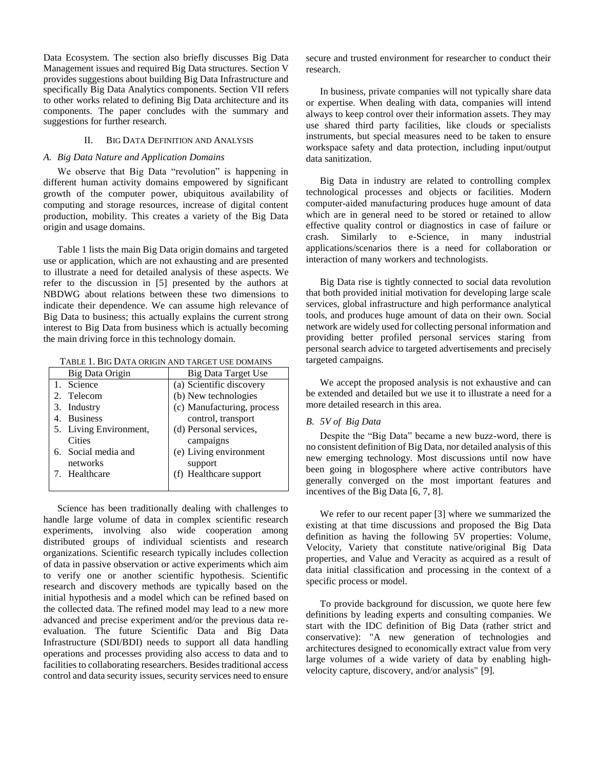Data Ecosystem. The section also briefly discusses Big Data Management issues and required Big Data structures. Section V provides suggestions about building Big Data Infrastructure and specifically Big Data Analytics components. Section VII refers to other works related to defining Big Data architecture and its components. The paper concludes with the summary and suggestions for further research.

## II. BIG DATA DEFINITION AND ANALYSIS

## *A. Big Data Nature and Application Domains*

We observe that Big Data "revolution" is happening in different human activity domains empowered by significant growth of the computer power, ubiquitous availability of computing and storage resources, increase of digital content production, mobility. This creates a variety of the Big Data origin and usage domains.

Table 1 lists the main Big Data origin domains and targeted use or application, which are not exhausting and are presented to illustrate a need for detailed analysis of these aspects. We refer to the discussion in [5] presented by the authors at NBDWG about relations between these two dimensions to indicate their dependence. We can assume high relevance of Big Data to business; this actually explains the current strong interest to Big Data from business which is actually becoming the main driving force in this technology domain.

TABLE 1. BIG DATA ORIGIN AND TARGET USE DOMAINS

| Big Data Origin        | <b>Big Data Target Use</b> |
|------------------------|----------------------------|
| 1. Science             | (a) Scientific discovery   |
| 2. Telecom             | (b) New technologies       |
| 3. Industry            | (c) Manufacturing, process |
| 4. Business            | control, transport         |
| 5. Living Environment, | (d) Personal services.     |
| Cities                 | campaigns                  |
| 6. Social media and    | (e) Living environment     |
| networks               | support                    |
| 7. Healthcare          | (f) Healthcare support     |
|                        |                            |

Science has been traditionally dealing with challenges to handle large volume of data in complex scientific research experiments, involving also wide cooperation among distributed groups of individual scientists and research organizations. Scientific research typically includes collection of data in passive observation or active experiments which aim to verify one or another scientific hypothesis. Scientific research and discovery methods are typically based on the initial hypothesis and a model which can be refined based on the collected data. The refined model may lead to a new more advanced and precise experiment and/or the previous data reevaluation. The future Scientific Data and Big Data Infrastructure (SDI/BDI) needs to support all data handling operations and processes providing also access to data and to facilities to collaborating researchers. Besides traditional access control and data security issues, security services need to ensure

secure and trusted environment for researcher to conduct their research.

In business, private companies will not typically share data or expertise. When dealing with data, companies will intend always to keep control over their information assets. They may use shared third party facilities, like clouds or specialists instruments, but special measures need to be taken to ensure workspace safety and data protection, including input/output data sanitization.

Big Data in industry are related to controlling complex technological processes and objects or facilities. Modern computer-aided manufacturing produces huge amount of data which are in general need to be stored or retained to allow effective quality control or diagnostics in case of failure or crash. Similarly to e-Science, in many industrial applications/scenarios there is a need for collaboration or interaction of many workers and technologists.

Big Data rise is tightly connected to social data revolution that both provided initial motivation for developing large scale services, global infrastructure and high performance analytical tools, and produces huge amount of data on their own. Social network are widely used for collecting personal information and providing better profiled personal services staring from personal search advice to targeted advertisements and precisely targeted campaigns.

We accept the proposed analysis is not exhaustive and can be extended and detailed but we use it to illustrate a need for a more detailed research in this area.

## *B. 5V of Big Data*

Despite the "Big Data" became a new buzz-word, there is no consistent definition of Big Data, nor detailed analysis of this new emerging technology. Most discussions until now have been going in blogosphere where active contributors have generally converged on the most important features and incentives of the Big Data [6, 7, 8].

We refer to our recent paper [3] where we summarized the existing at that time discussions and proposed the Big Data definition as having the following 5V properties: Volume, Velocity, Variety that constitute native/original Big Data properties, and Value and Veracity as acquired as a result of data initial classification and processing in the context of a specific process or model.

To provide background for discussion, we quote here few definitions by leading experts and consulting companies. We start with the IDC definition of Big Data (rather strict and conservative): "A new generation of technologies and architectures designed to economically extract value from very large volumes of a wide variety of data by enabling highvelocity capture, discovery, and/or analysis" [9].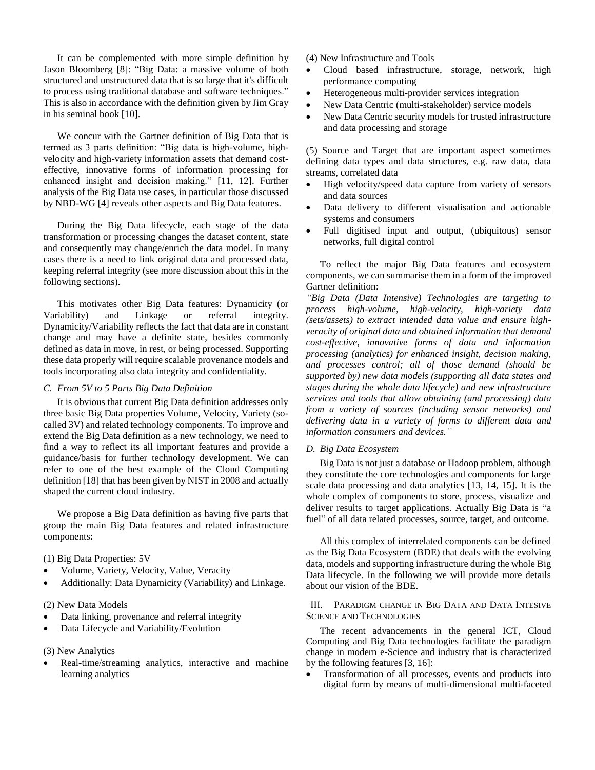It can be complemented with more simple definition by Jason Bloomberg [8]: "Big Data: a massive volume of both structured and unstructured data that is so large that it's difficult to process using traditional database and software techniques." This is also in accordance with the definition given by Jim Gray in his seminal book [10].

We concur with the Gartner definition of Big Data that is termed as 3 parts definition: "Big data is high-volume, highvelocity and high-variety information assets that demand costeffective, innovative forms of information processing for enhanced insight and decision making." [11, 12]. Further analysis of the Big Data use cases, in particular those discussed by NBD-WG [4] reveals other aspects and Big Data features.

During the Big Data lifecycle, each stage of the data transformation or processing changes the dataset content, state and consequently may change/enrich the data model. In many cases there is a need to link original data and processed data, keeping referral integrity (see more discussion about this in the following sections).

This motivates other Big Data features: Dynamicity (or Variability) and Linkage or referral integrity. Dynamicity/Variability reflects the fact that data are in constant change and may have a definite state, besides commonly defined as data in move, in rest, or being processed. Supporting these data properly will require scalable provenance models and tools incorporating also data integrity and confidentiality.

## *C. From 5V to 5 Parts Big Data Definition*

It is obvious that current Big Data definition addresses only three basic Big Data properties Volume, Velocity, Variety (socalled 3V) and related technology components. To improve and extend the Big Data definition as a new technology, we need to find a way to reflect its all important features and provide a guidance/basis for further technology development. We can refer to one of the best example of the Cloud Computing definition [18] that has been given by NIST in 2008 and actually shaped the current cloud industry.

We propose a Big Data definition as having five parts that group the main Big Data features and related infrastructure components:

(1) Big Data Properties: 5V

- Volume, Variety, Velocity, Value, Veracity
- Additionally: Data Dynamicity (Variability) and Linkage.

## (2) New Data Models

- Data linking, provenance and referral integrity
- Data Lifecycle and Variability/Evolution

# (3) New Analytics

 Real-time/streaming analytics, interactive and machine learning analytics

- (4) New Infrastructure and Tools
- Cloud based infrastructure, storage, network, high performance computing
- Heterogeneous multi-provider services integration
- New Data Centric (multi-stakeholder) service models
- New Data Centric security models for trusted infrastructure and data processing and storage

(5) Source and Target that are important aspect sometimes defining data types and data structures, e.g. raw data, data streams, correlated data

- High velocity/speed data capture from variety of sensors and data sources
- Data delivery to different visualisation and actionable systems and consumers
- Full digitised input and output, (ubiquitous) sensor networks, full digital control

To reflect the major Big Data features and ecosystem components, we can summarise them in a form of the improved Gartner definition:

*"Big Data (Data Intensive) Technologies are targeting to process high-volume, high-velocity, high-variety data (sets/assets) to extract intended data value and ensure highveracity of original data and obtained information that demand cost-effective, innovative forms of data and information processing (analytics) for enhanced insight, decision making, and processes control; all of those demand (should be supported by) new data models (supporting all data states and stages during the whole data lifecycle) and new infrastructure services and tools that allow obtaining (and processing) data from a variety of sources (including sensor networks) and delivering data in a variety of forms to different data and information consumers and devices."*

## *D. Big Data Ecosystem*

Big Data is not just a database or Hadoop problem, although they constitute the core technologies and components for large scale data processing and data analytics [13, 14, 15]. It is the whole complex of components to store, process, visualize and deliver results to target applications. Actually Big Data is "a fuel" of all data related processes, source, target, and outcome.

All this complex of interrelated components can be defined as the Big Data Ecosystem (BDE) that deals with the evolving data, models and supporting infrastructure during the whole Big Data lifecycle. In the following we will provide more details about our vision of the BDE.

# III. PARADIGM CHANGE IN BIG DATA AND DATA INTESIVE SCIENCE AND TECHNOLOGIES

The recent advancements in the general ICT, Cloud Computing and Big Data technologies facilitate the paradigm change in modern e-Science and industry that is characterized by the following features [3, 16]:

 Transformation of all processes, events and products into digital form by means of multi-dimensional multi-faceted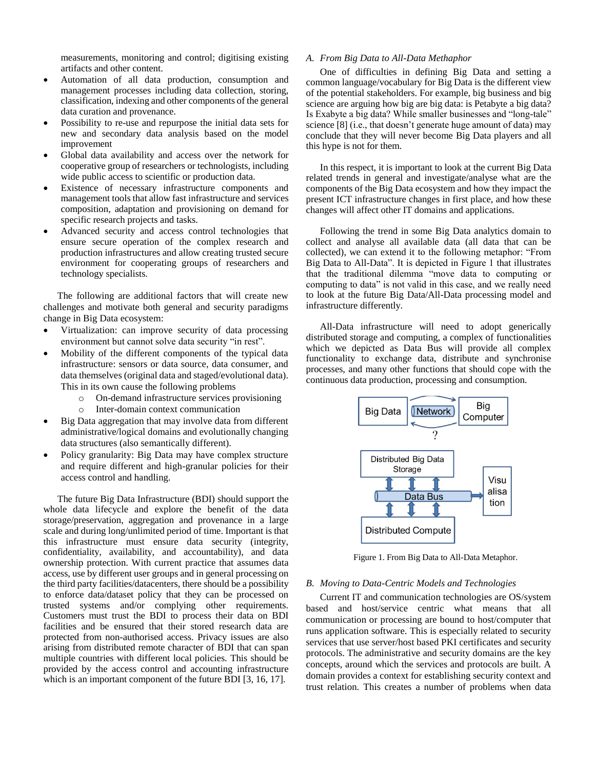measurements, monitoring and control; digitising existing artifacts and other content.

- Automation of all data production, consumption and management processes including data collection, storing, classification, indexing and other components of the general data curation and provenance.
- Possibility to re-use and repurpose the initial data sets for new and secondary data analysis based on the model improvement
- Global data availability and access over the network for cooperative group of researchers or technologists, including wide public access to scientific or production data.
- Existence of necessary infrastructure components and management tools that allow fast infrastructure and services composition, adaptation and provisioning on demand for specific research projects and tasks.
- Advanced security and access control technologies that ensure secure operation of the complex research and production infrastructures and allow creating trusted secure environment for cooperating groups of researchers and technology specialists.

The following are additional factors that will create new challenges and motivate both general and security paradigms change in Big Data ecosystem:

- Virtualization: can improve security of data processing environment but cannot solve data security "in rest".
- Mobility of the different components of the typical data infrastructure: sensors or data source, data consumer, and data themselves (original data and staged/evolutional data). This in its own cause the following problems
	- o On-demand infrastructure services provisioning
	- Inter-domain context communication
- Big Data aggregation that may involve data from different administrative/logical domains and evolutionally changing data structures (also semantically different).
- Policy granularity: Big Data may have complex structure and require different and high-granular policies for their access control and handling.

The future Big Data Infrastructure (BDI) should support the whole data lifecycle and explore the benefit of the data storage/preservation, aggregation and provenance in a large scale and during long/unlimited period of time. Important is that this infrastructure must ensure data security (integrity, confidentiality, availability, and accountability), and data ownership protection. With current practice that assumes data access, use by different user groups and in general processing on the third party facilities/datacenters, there should be a possibility to enforce data/dataset policy that they can be processed on trusted systems and/or complying other requirements. Customers must trust the BDI to process their data on BDI facilities and be ensured that their stored research data are protected from non-authorised access. Privacy issues are also arising from distributed remote character of BDI that can span multiple countries with different local policies. This should be provided by the access control and accounting infrastructure which is an important component of the future BDI [3, 16, 17].

#### *A. From Big Data to All-Data Methaphor*

One of difficulties in defining Big Data and setting a common language/vocabulary for Big Data is the different view of the potential stakeholders. For example, big business and big science are arguing how big are big data: is Petabyte a big data? Is Exabyte a big data? While smaller businesses and "long-tale" science [8] (i.e., that doesn't generate huge amount of data) may conclude that they will never become Big Data players and all this hype is not for them.

In this respect, it is important to look at the current Big Data related trends in general and investigate/analyse what are the components of the Big Data ecosystem and how they impact the present ICT infrastructure changes in first place, and how these changes will affect other IT domains and applications.

Following the trend in some Big Data analytics domain to collect and analyse all available data (all data that can be collected), we can extend it to the following metaphor: "From Big Data to All-Data". It is depicted in Figure 1 that illustrates that the traditional dilemma "move data to computing or computing to data" is not valid in this case, and we really need to look at the future Big Data/All-Data processing model and infrastructure differently.

All-Data infrastructure will need to adopt generically distributed storage and computing, a complex of functionalities which we depicted as Data Bus will provide all complex functionality to exchange data, distribute and synchronise processes, and many other functions that should cope with the continuous data production, processing and consumption.



Figure 1. From Big Data to All-Data Metaphor.

# *B. Moving to Data-Centric Models and Technologies*

Current IT and communication technologies are OS/system based and host/service centric what means that all communication or processing are bound to host/computer that runs application software. This is especially related to security services that use server/host based PKI certificates and security protocols. The administrative and security domains are the key concepts, around which the services and protocols are built. A domain provides a context for establishing security context and trust relation. This creates a number of problems when data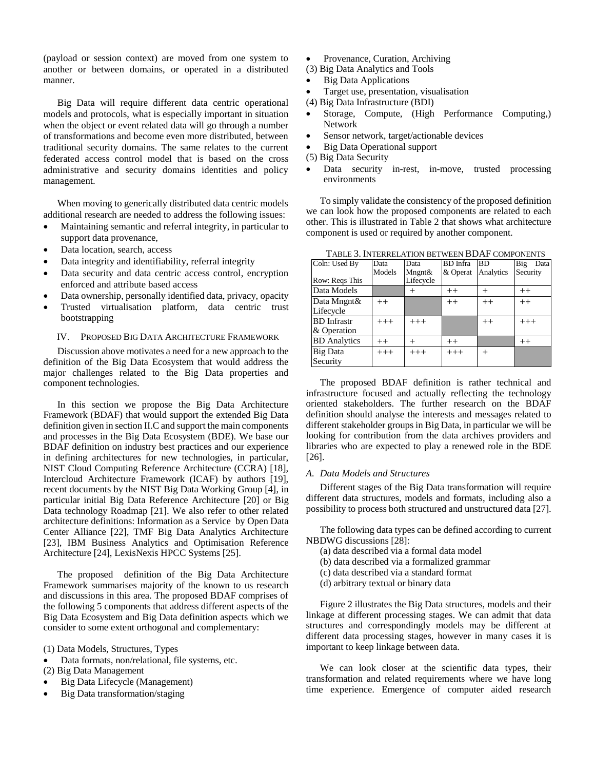(payload or session context) are moved from one system to another or between domains, or operated in a distributed manner.

Big Data will require different data centric operational models and protocols, what is especially important in situation when the object or event related data will go through a number of transformations and become even more distributed, between traditional security domains. The same relates to the current federated access control model that is based on the cross administrative and security domains identities and policy management.

When moving to generically distributed data centric models additional research are needed to address the following issues:

- Maintaining semantic and referral integrity, in particular to support data provenance,
- Data location, search, access
- Data integrity and identifiability, referral integrity
- Data security and data centric access control, encryption enforced and attribute based access
- Data ownership, personally identified data, privacy, opacity
- Trusted virtualisation platform, data centric trust bootstrapping

# IV. PROPOSED BIG DATA ARCHITECTURE FRAMEWORK

Discussion above motivates a need for a new approach to the definition of the Big Data Ecosystem that would address the major challenges related to the Big Data properties and component technologies.

In this section we propose the Big Data Architecture Framework (BDAF) that would support the extended Big Data definition given in section II.C and support the main components and processes in the Big Data Ecosystem (BDE). We base our BDAF definition on industry best practices and our experience in defining architectures for new technologies, in particular, NIST Cloud Computing Reference Architecture (CCRA) [18], Intercloud Architecture Framework (ICAF) by authors [19], recent documents by the NIST Big Data Working Group [4], in particular initial Big Data Reference Architecture [20] or Big Data technology Roadmap [21]. We also refer to other related architecture definitions: Information as a Service by Open Data Center Alliance [22], TMF Big Data Analytics Architecture [23], IBM Business Analytics and Optimisation Reference Architecture [24], LexisNexis HPCC Systems [25].

The proposed definition of the Big Data Architecture Framework summarises majority of the known to us research and discussions in this area. The proposed BDAF comprises of the following 5 components that address different aspects of the Big Data Ecosystem and Big Data definition aspects which we consider to some extent orthogonal and complementary:

(1) Data Models, Structures, Types

- Data formats, non/relational, file systems, etc.
- (2) Big Data Management
- Big Data Lifecycle (Management)
- Big Data transformation/staging
- Provenance, Curation, Archiving
- (3) Big Data Analytics and Tools
- Big Data Applications
- Target use, presentation, visualisation
- (4) Big Data Infrastructure (BDI)
- Storage, Compute, (High Performance Computing,) Network
- Sensor network, target/actionable devices
- Big Data Operational support
- (5) Big Data Security
- Data security in-rest, in-move, trusted processing environments

To simply validate the consistency of the proposed definition we can look how the proposed components are related to each other. This is illustrated in Table 2 that shows what architecture component is used or required by another component.

|              |      |      | TABLE 3. INTERRELATION BETWEEN BDAF COMPONENTS |     |      |
|--------------|------|------|------------------------------------------------|-----|------|
| oln: Used Bv | Data | Data | BD Infra BD                                    | Big | Data |

| Coln: Used By       | Data<br>Models | Data<br>Mngnt& | <b>BD</b> Infra<br>& Operat | <b>BD</b><br>Analytics | Big<br>Data<br>Security |
|---------------------|----------------|----------------|-----------------------------|------------------------|-------------------------|
| Row: Regs This      |                | Lifecycle      |                             |                        |                         |
| Data Models         |                | $^{+}$         | $++$                        | $^{+}$                 | $++$                    |
| Data Mngnt&         | $++$           |                | $++$                        | $++$                   | $++$                    |
| Lifecycle           |                |                |                             |                        |                         |
| <b>BD</b> Infrastr  | $+++$          | $+++$          |                             | $++$                   | $+++$                   |
| & Operation         |                |                |                             |                        |                         |
| <b>BD</b> Analytics | $++$           | $^{+}$         | $++$                        |                        | $++$                    |
| <b>Big Data</b>     | $+++$          | $+++$          | $+++$                       | $^{+}$                 |                         |
| Security            |                |                |                             |                        |                         |

The proposed BDAF definition is rather technical and infrastructure focused and actually reflecting the technology oriented stakeholders. The further research on the BDAF definition should analyse the interests and messages related to different stakeholder groups in Big Data, in particular we will be looking for contribution from the data archives providers and libraries who are expected to play a renewed role in the BDE [26].

## *A. Data Models and Structures*

Different stages of the Big Data transformation will require different data structures, models and formats, including also a possibility to process both structured and unstructured data [27].

The following data types can be defined according to current NBDWG discussions [28]:

- (a) data described via a formal data model
- (b) data described via a formalized grammar
- (c) data described via a standard format
- (d) arbitrary textual or binary data

Figure 2 illustrates the Big Data structures, models and their linkage at different processing stages. We can admit that data structures and correspondingly models may be different at different data processing stages, however in many cases it is important to keep linkage between data.

We can look closer at the scientific data types, their transformation and related requirements where we have long time experience. Emergence of computer aided research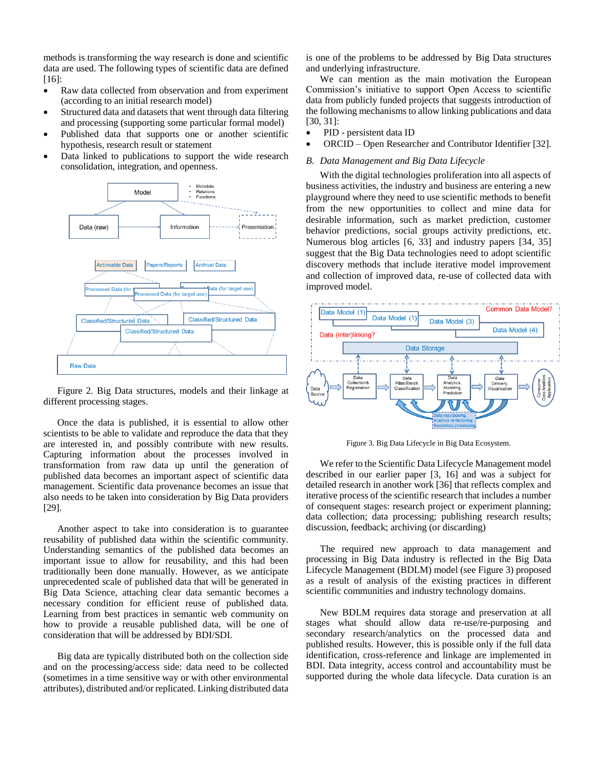methods is transforming the way research is done and scientific data are used. The following types of scientific data are defined [16]:

- Raw data collected from observation and from experiment (according to an initial research model)
- Structured data and datasets that went through data filtering and processing (supporting some particular formal model)
- Published data that supports one or another scientific hypothesis, research result or statement
- Data linked to publications to support the wide research consolidation, integration, and openness.



Figure 2. Big Data structures, models and their linkage at different processing stages.

Once the data is published, it is essential to allow other scientists to be able to validate and reproduce the data that they are interested in, and possibly contribute with new results. Capturing information about the processes involved in transformation from raw data up until the generation of published data becomes an important aspect of scientific data management. Scientific data provenance becomes an issue that also needs to be taken into consideration by Big Data providers [29].

Another aspect to take into consideration is to guarantee reusability of published data within the scientific community. Understanding semantics of the published data becomes an important issue to allow for reusability, and this had been traditionally been done manually. However, as we anticipate unprecedented scale of published data that will be generated in Big Data Science, attaching clear data semantic becomes a necessary condition for efficient reuse of published data. Learning from best practices in semantic web community on how to provide a reusable published data, will be one of consideration that will be addressed by BDI/SDI.

Big data are typically distributed both on the collection side and on the processing/access side: data need to be collected (sometimes in a time sensitive way or with other environmental attributes), distributed and/or replicated. Linking distributed data is one of the problems to be addressed by Big Data structures and underlying infrastructure.

We can mention as the main motivation the European Commission's initiative to support Open Access to scientific data from publicly funded projects that suggests introduction of the following mechanisms to allow linking publications and data [30, 31]:

- PID persistent data ID
- ORCID Open Researcher and Contributor Identifier [32].

## *B. Data Management and Big Data Lifecycle*

With the digital technologies proliferation into all aspects of business activities, the industry and business are entering a new playground where they need to use scientific methods to benefit from the new opportunities to collect and mine data for desirable information, such as market prediction, customer behavior predictions, social groups activity predictions, etc. Numerous blog articles [6, 33] and industry papers [34, 35] suggest that the Big Data technologies need to adopt scientific discovery methods that include iterative model improvement and collection of improved data, re-use of collected data with improved model.



Figure 3. Big Data Lifecycle in Big Data Ecosystem.

We refer to the Scientific Data Lifecycle Management model described in our earlier paper [3, 16] and was a subject for detailed research in another work [36] that reflects complex and iterative process of the scientific research that includes a number of consequent stages: research project or experiment planning; data collection; data processing; publishing research results; discussion, feedback; archiving (or discarding)

The required new approach to data management and processing in Big Data industry is reflected in the Big Data Lifecycle Management (BDLM) model (see Figure 3) proposed as a result of analysis of the existing practices in different scientific communities and industry technology domains.

New BDLM requires data storage and preservation at all stages what should allow data re-use/re-purposing and secondary research/analytics on the processed data and published results. However, this is possible only if the full data identification, cross-reference and linkage are implemented in BDI. Data integrity, access control and accountability must be supported during the whole data lifecycle. Data curation is an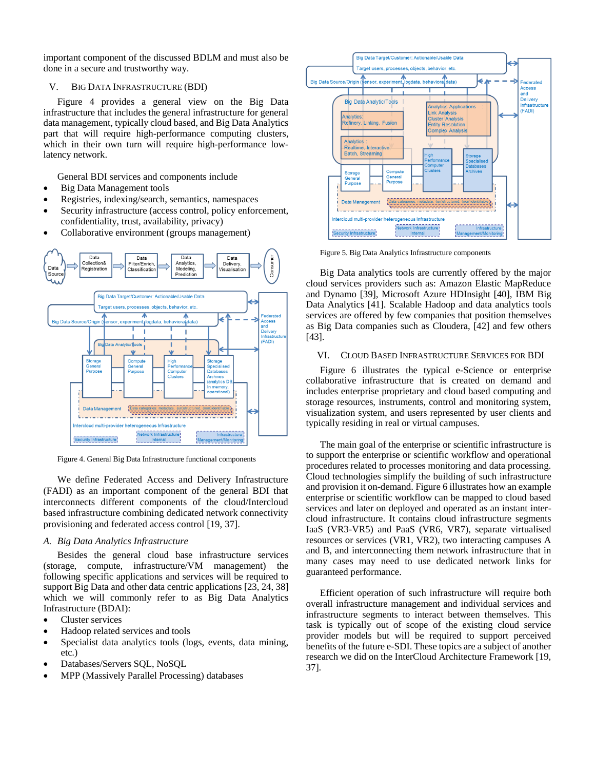important component of the discussed BDLM and must also be done in a secure and trustworthy way.

## V. BIG DATA INFRASTRUCTURE (BDI)

Figure 4 provides a general view on the Big Data infrastructure that includes the general infrastructure for general data management, typically cloud based, and Big Data Analytics part that will require high-performance computing clusters, which in their own turn will require high-performance lowlatency network.

General BDI services and components include

- Big Data Management tools
- Registries, indexing/search, semantics, namespaces
- Security infrastructure (access control, policy enforcement, confidentiality, trust, availability, privacy)
- Collaborative environment (groups management)



Figure 4. General Big Data Infrastructure functional components

We define Federated Access and Delivery Infrastructure (FADI) as an important component of the general BDI that interconnects different components of the cloud/Intercloud based infrastructure combining dedicated network connectivity provisioning and federated access control [19, 37].

# *A. Big Data Analytics Infrastructure*

Besides the general cloud base infrastructure services (storage, compute, infrastructure/VM management) the following specific applications and services will be required to support Big Data and other data centric applications [23, 24, 38] which we will commonly refer to as Big Data Analytics Infrastructure (BDAI):

- Cluster services
- Hadoop related services and tools
- Specialist data analytics tools (logs, events, data mining, etc.)
- Databases/Servers SQL, NoSQL
- MPP (Massively Parallel Processing) databases



Figure 5. Big Data Analytics Infrastructure components

Big Data analytics tools are currently offered by the major cloud services providers such as: Amazon Elastic MapReduce and Dynamo [39], Microsoft Azure HDInsight [40], IBM Big Data Analytics [41]. Scalable Hadoop and data analytics tools services are offered by few companies that position themselves as Big Data companies such as Cloudera, [42] and few others [43].

# VI. CLOUD BASED INFRASTRUCTURE SERVICES FOR BDI

Figure 6 illustrates the typical e-Science or enterprise collaborative infrastructure that is created on demand and includes enterprise proprietary and cloud based computing and storage resources, instruments, control and monitoring system, visualization system, and users represented by user clients and typically residing in real or virtual campuses.

The main goal of the enterprise or scientific infrastructure is to support the enterprise or scientific workflow and operational procedures related to processes monitoring and data processing. Cloud technologies simplify the building of such infrastructure and provision it on-demand. Figure 6 illustrates how an example enterprise or scientific workflow can be mapped to cloud based services and later on deployed and operated as an instant intercloud infrastructure. It contains cloud infrastructure segments IaaS (VR3-VR5) and PaaS (VR6, VR7), separate virtualised resources or services (VR1, VR2), two interacting campuses A and B, and interconnecting them network infrastructure that in many cases may need to use dedicated network links for guaranteed performance.

Efficient operation of such infrastructure will require both overall infrastructure management and individual services and infrastructure segments to interact between themselves. This task is typically out of scope of the existing cloud service provider models but will be required to support perceived benefits of the future e-SDI. These topics are a subject of another research we did on the InterCloud Architecture Framework [19, 37].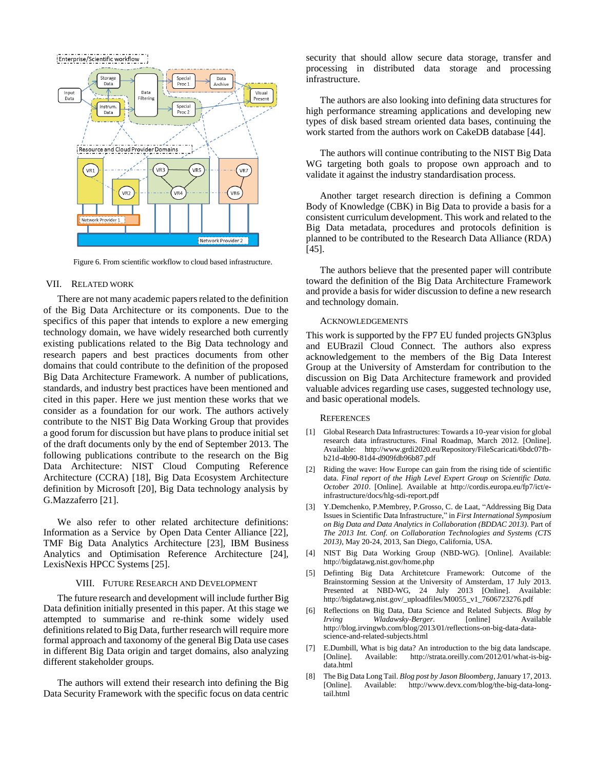

Figure 6. From scientific workflow to cloud based infrastructure.

#### VII. RELATED WORK

There are not many academic papers related to the definition of the Big Data Architecture or its components. Due to the specifics of this paper that intends to explore a new emerging technology domain, we have widely researched both currently existing publications related to the Big Data technology and research papers and best practices documents from other domains that could contribute to the definition of the proposed Big Data Architecture Framework. A number of publications, standards, and industry best practices have been mentioned and cited in this paper. Here we just mention these works that we consider as a foundation for our work. The authors actively contribute to the NIST Big Data Working Group that provides a good forum for discussion but have plans to produce initial set of the draft documents only by the end of September 2013. The following publications contribute to the research on the Big Data Architecture: NIST Cloud Computing Reference Architecture (CCRA) [18], Big Data Ecosystem Architecture definition by Microsoft [20], Big Data technology analysis by G.Mazzaferro [21].

We also refer to other related architecture definitions: Information as a Service by Open Data Center Alliance [22], TMF Big Data Analytics Architecture [23], IBM Business Analytics and Optimisation Reference Architecture [24], LexisNexis HPCC Systems [25].

#### VIII. FUTURE RESEARCH AND DEVELOPMENT

The future research and development will include further Big Data definition initially presented in this paper. At this stage we attempted to summarise and re-think some widely used definitions related to Big Data, further research will require more formal approach and taxonomy of the general Big Data use cases in different Big Data origin and target domains, also analyzing different stakeholder groups.

The authors will extend their research into defining the Big Data Security Framework with the specific focus on data centric security that should allow secure data storage, transfer and processing in distributed data storage and processing infrastructure.

The authors are also looking into defining data structures for high performance streaming applications and developing new types of disk based stream oriented data bases, continuing the work started from the authors work on CakeDB database [44].

The authors will continue contributing to the NIST Big Data WG targeting both goals to propose own approach and to validate it against the industry standardisation process.

Another target research direction is defining a Common Body of Knowledge (CBK) in Big Data to provide a basis for a consistent curriculum development. This work and related to the Big Data metadata, procedures and protocols definition is planned to be contributed to the Research Data Alliance (RDA) [45].

The authors believe that the presented paper will contribute toward the definition of the Big Data Architecture Framework and provide a basis for wider discussion to define a new research and technology domain.

#### ACKNOWLEDGEMENTS

This work is supported by the FP7 EU funded projects GN3plus and EUBrazil Cloud Connect. The authors also express acknowledgement to the members of the Big Data Interest Group at the University of Amsterdam for contribution to the discussion on Big Data Architecture framework and provided valuable advices regarding use cases, suggested technology use, and basic operational models.

#### **REFERENCES**

- [1] Global Research Data Infrastructures: Towards a 10-year vision for global research data infrastructures. Final Roadmap, March 2012. [Online]. Available: http://www.grdi2020.eu/Repository/FileScaricati/6bdc07fbb21d-4b90-81d4-d909fdb96b87.pdf
- Riding the wave: How Europe can gain from the rising tide of scientific data. *Final report of the High Level Expert Group on Scientific Data. October 2010*. [Online]. Available at http://cordis.europa.eu/fp7/ict/einfrastructure/docs/hlg-sdi-report.pdf
- [3] Y.Demchenko, P.Membrey, P.Grosso, C. de Laat, "Addressing Big Data Issues in Scientific Data Infrastructure," in *First International Symposium on Big Data and Data Analytics in Collaboration (BDDAC 2013)*. Part of *The 2013 Int. Conf. on Collaboration Technologies and Systems (CTS 2013)*, May 20-24, 2013, San Diego, California, USA.
- [4] NIST Big Data Working Group (NBD-WG). [Online]. Available: http://bigdatawg.nist.gov/home.php
- [5] Definting Big Data Architetcure Framework: Outcome of the Brainstorming Session at the University of Amsterdam, 17 July 2013. Presented at NBD-WG, 24 July 2013 [Online]. Available: http://bigdatawg.nist.gov/\_uploadfiles/M0055\_v1\_7606723276.pdf
- [6] Reflections on Big Data, Data Science and Related Subjects. *Blog by Irving Wladawsky-Berger*. [online] Available http://blog.irvingwb.com/blog/2013/01/reflections-on-big-data-datascience-and-related-subjects.html
- [7] E.Dumbill, What is big data? An introduction to the big data landscape. [Online]. Available: http://strata.oreilly.com/2012/01/what-is-bigdata.html
- [8] The Big Data Long Tail. *Blog post by Jason Bloomberg*,January 17, 2013. [Online]. Available: http://www.devx.com/blog/the-big-data-longtail.html